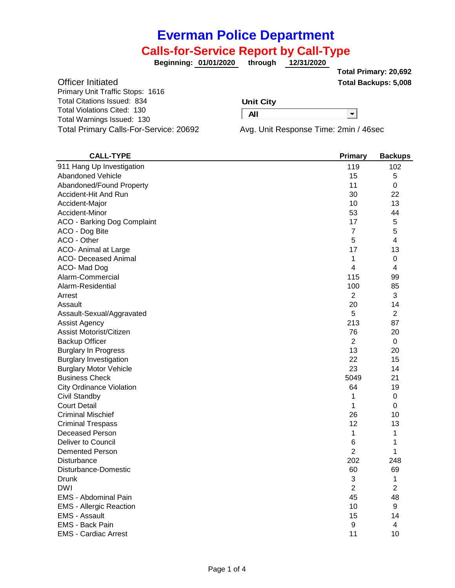# **Everman Police Department**

## **Calls-for-Service Report by Call-Type**

**01/01/2020 through 12/31/2020 Beginning:**

**Total Backups: 5,008 Total Primary: 20,692**

−

Officer Initiated Primary Unit Traffic Stops: 1616 Total Citations Issued: 834 Total Violations Cited: 130 Total Warnings Issued: 130

#### **Unit City**

**All**

Total Primary Calls-For-Service: 20692 Avg. Unit Response Time: 2min / 46sec

| <b>CALL-TYPE</b>                | Primary        | <b>Backups</b> |
|---------------------------------|----------------|----------------|
| 911 Hang Up Investigation       | 119            | 102            |
| <b>Abandoned Vehicle</b>        | 15             | 5              |
| Abandoned/Found Property        | 11             | 0              |
| Accident-Hit And Run            | 30             | 22             |
| Accident-Major                  | 10             | 13             |
| Accident-Minor                  | 53             | 44             |
| ACO - Barking Dog Complaint     | 17             | 5              |
| ACO - Dog Bite                  | $\overline{7}$ | 5              |
| ACO - Other                     | 5              | 4              |
| ACO- Animal at Large            | 17             | 13             |
| <b>ACO- Deceased Animal</b>     | 1              | 0              |
| ACO-Mad Dog                     | 4              | 4              |
| Alarm-Commercial                | 115            | 99             |
| Alarm-Residential               | 100            | 85             |
| Arrest                          | $\overline{2}$ | 3              |
| Assault                         | 20             | 14             |
| Assault-Sexual/Aggravated       | 5              | 2              |
| Assist Agency                   | 213            | 87             |
| Assist Motorist/Citizen         | 76             | 20             |
| <b>Backup Officer</b>           | $\overline{2}$ | 0              |
| <b>Burglary In Progress</b>     | 13             | 20             |
| <b>Burglary Investigation</b>   | 22             | 15             |
| <b>Burglary Motor Vehicle</b>   | 23             | 14             |
| <b>Business Check</b>           | 5049           | 21             |
| <b>City Ordinance Violation</b> | 64             | 19             |
| Civil Standby                   | 1              | 0              |
| <b>Court Detail</b>             | 1              | 0              |
| <b>Criminal Mischief</b>        | 26             | 10             |
| <b>Criminal Trespass</b>        | 12             | 13             |
| <b>Deceased Person</b>          | 1              | 1              |
| Deliver to Council              | 6              | 1              |
| <b>Demented Person</b>          | $\overline{2}$ | 1              |
| <b>Disturbance</b>              | 202            | 248            |
| Disturbance-Domestic            | 60             | 69             |
| Drunk                           | 3              | 1              |
| <b>DWI</b>                      | 2              | 2              |
| EMS - Abdominal Pain            | 45             | 48             |
| <b>EMS - Allergic Reaction</b>  | 10             | 9              |
| <b>EMS - Assault</b>            | 15             | 14             |
| EMS - Back Pain                 | 9              | 4              |
| <b>EMS - Cardiac Arrest</b>     | 11             | 10             |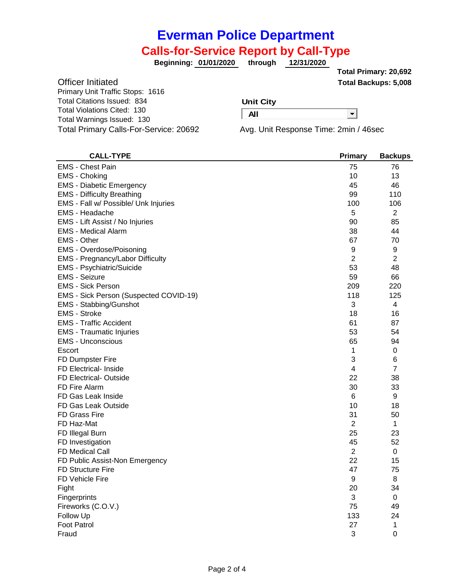## **Everman Police Department**

### **Calls-for-Service Report by Call-Type**

**01/01/2020 through 12/31/2020 Beginning:**

**Total Backups: 5,008 Total Primary: 20,692**

 $\overline{\phantom{a}}$ 

| <b>Officer Initiated</b>               |
|----------------------------------------|
| Primary Unit Traffic Stops: 1616       |
| <b>Total Citations Issued: 834</b>     |
| <b>Total Violations Cited: 130</b>     |
| Total Warnings Issued: 130             |
| Total Primary Calls-For-Service: 20692 |

#### **Unit City**

**All**

Avg. Unit Response Time: 2min / 46sec

| <b>CALL-TYPE</b>                       | <b>Primary</b>   | <b>Backups</b> |
|----------------------------------------|------------------|----------------|
| <b>EMS - Chest Pain</b>                | 75               | 76             |
| EMS - Choking                          | 10               | 13             |
| <b>EMS - Diabetic Emergency</b>        | 45               | 46             |
| <b>EMS - Difficulty Breathing</b>      | 99               | 110            |
| EMS - Fall w/ Possible/ Unk Injuries   | 100              | 106            |
| <b>EMS - Headache</b>                  | 5                | $\overline{2}$ |
| EMS - Lift Assist / No Injuries        | 90               | 85             |
| <b>EMS</b> - Medical Alarm             | 38               | 44             |
| <b>EMS - Other</b>                     | 67               | 70             |
| EMS - Overdose/Poisoning               | $\boldsymbol{9}$ | 9              |
| EMS - Pregnancy/Labor Difficulty       | $\overline{2}$   | 2              |
| EMS - Psychiatric/Suicide              | 53               | 48             |
| <b>EMS - Seizure</b>                   | 59               | 66             |
| <b>EMS - Sick Person</b>               | 209              | 220            |
| EMS - Sick Person (Suspected COVID-19) | 118              | 125            |
| <b>EMS - Stabbing/Gunshot</b>          | 3                | 4              |
| <b>EMS - Stroke</b>                    | 18               | 16             |
| <b>EMS</b> - Traffic Accident          | 61               | 87             |
| <b>EMS</b> - Traumatic Injuries        | 53               | 54             |
| <b>EMS - Unconscious</b>               | 65               | 94             |
| Escort                                 | 1                | 0              |
| FD Dumpster Fire                       | 3                | 6              |
| <b>FD Electrical- Inside</b>           | 4                | $\overline{7}$ |
| <b>FD Electrical- Outside</b>          | 22               | 38             |
| FD Fire Alarm                          | 30               | 33             |
| FD Gas Leak Inside                     | $6\phantom{1}$   | 9              |
| FD Gas Leak Outside                    | 10               | 18             |
| <b>FD Grass Fire</b>                   | 31               | 50             |
| FD Haz-Mat                             | $\overline{2}$   | 1              |
| FD Illegal Burn                        | 25               | 23             |
| FD Investigation                       | 45               | 52             |
| <b>FD Medical Call</b>                 | $\overline{2}$   | 0              |
| FD Public Assist-Non Emergency         | 22               | 15             |
| <b>FD Structure Fire</b>               | 47               | 75             |
| FD Vehicle Fire                        | 9                | 8              |
| Fight                                  | 20               | 34             |
| Fingerprints                           | 3                | 0              |
| Fireworks (C.O.V.)                     | 75               | 49             |
| Follow Up                              | 133              | 24             |
| <b>Foot Patrol</b>                     | 27               | 1              |
| Fraud                                  | 3                | 0              |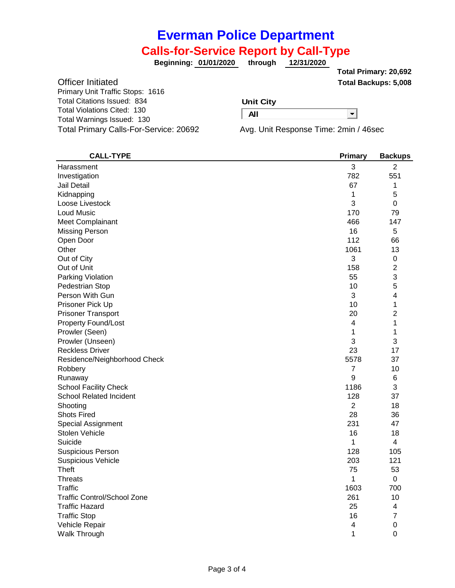# **Everman Police Department**

### **Calls-for-Service Report by Call-Type**

**01/01/2020 through 12/31/2020 Beginning:**

**Total Backups: 5,008 Total Primary: 20,692**

−

Officer Initiated Primary Unit Traffic Stops: 1616 Total Citations Issued: 834 Total Violations Cited: 130 Total Warnings Issued: 130 Total Primary Calls-For-Service: 20692 Avg. Unit Response Time: 2min / 46sec

#### **Unit City**

**All**

| <b>CALL-TYPE</b>                   | <b>Primary</b> | <b>Backups</b> |
|------------------------------------|----------------|----------------|
| Harassment                         | 3              | $\overline{2}$ |
| Investigation                      | 782            | 551            |
| Jail Detail                        | 67             | 1              |
| Kidnapping                         | 1              | 5              |
| Loose Livestock                    | 3              | $\mathbf 0$    |
| <b>Loud Music</b>                  | 170            | 79             |
| <b>Meet Complainant</b>            | 466            | 147            |
| <b>Missing Person</b>              | 16             | 5              |
| Open Door                          | 112            | 66             |
| Other                              | 1061           | 13             |
| Out of City                        | 3              | $\pmb{0}$      |
| Out of Unit                        | 158            | $\overline{2}$ |
| Parking Violation                  | 55             | 3              |
| Pedestrian Stop                    | 10             | 5              |
| Person With Gun                    | 3              | 4              |
| Prisoner Pick Up                   | 10             | 1              |
| <b>Prisoner Transport</b>          | 20             | $\overline{2}$ |
| <b>Property Found/Lost</b>         | 4              | 1              |
| Prowler (Seen)                     | 1              | 1              |
| Prowler (Unseen)                   | 3              | 3              |
| <b>Reckless Driver</b>             | 23             | 17             |
| Residence/Neighborhood Check       | 5578           | 37             |
| Robbery                            | $\overline{7}$ | 10             |
| Runaway                            | 9              | 6              |
| <b>School Facility Check</b>       | 1186           | 3              |
| School Related Incident            | 128            | 37             |
| Shooting                           | $\overline{2}$ | 18             |
| <b>Shots Fired</b>                 | 28             | 36             |
| <b>Special Assignment</b>          | 231            | 47             |
| Stolen Vehicle                     | 16             | 18             |
| Suicide                            | 1              | 4              |
| <b>Suspicious Person</b>           | 128            | 105            |
| <b>Suspicious Vehicle</b>          | 203            | 121            |
| Theft                              | 75             | 53             |
| Threats                            | 1              | 0              |
| Traffic                            | 1603           | 700            |
| <b>Traffic Control/School Zone</b> | 261            | 10             |
| <b>Traffic Hazard</b>              | 25             | 4              |
| <b>Traffic Stop</b>                | 16             | 7              |
| Vehicle Repair                     | 4              | 0              |
| Walk Through                       | 1              | $\mathbf 0$    |